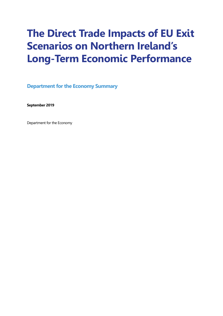# **The Direct Trade Impacts of EU Exit Scenarios on Northern Ireland's Long-Term Economic Performance**

**Department for the Economy Summary** 

**September 2019** 

Department for the Economy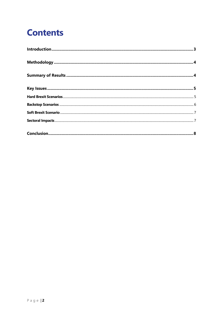## **Contents**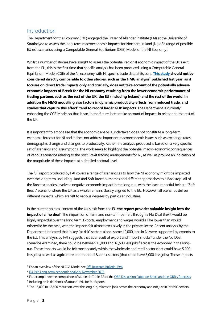## <span id="page-2-0"></span>Introduction

The Department for the Economy (DfE) engaged the Fraser of Allander Institute (FAI) at the University of Strathclyde to assess the long-term macroeconomic impacts for Northern Ireland (NI) of a range of possible EU exit scenarios using a Computable General Equilibrium (CGE) Model of the NI Economy<sup>1</sup>.

Whilst a number of studies have sought to assess the potential regional economic impact of the UK's exit from the EU, this is the first time that specific analysis has been produced using a Computable General Equilibrium Model (CGE) of the NI economy with NI specific trade data at its core. **[This study](https://www.sbs.strath.ac.uk/economics/fraser/20180827/Long-term-trade-impact.pdf) should not be considered directly comparable to other studies, such as the HMG analysis<sup>2</sup> published last year, as it focuses on direct trade impacts only and crucially, does not take account of the potentially adverse economic impacts of Brexit for the NI economy resulting from the lower economic performance of trading partners such as the rest of the UK, the EU (including Ireland) and the rest of the world. In addition the HMG modelling also factors in dynamic productivity effects from reduced trade, and studies that capture this effect<sup>3</sup> tend to record larger GDP impacts. The Department is currently** enhancing the CGE Model so that it can, in the future, better take account of impacts in relation to the rest of the UK.

It is important to emphasise that the economic analysis undertaken does not constitute a long-term economic forecast for NI and it does not address important macroeconomic issues such as exchange rates, demographic change and changes to productivity. Rather, the analysis produced is based on a very specific set of scenarios and assumptions. The work seeks to highlight the potential macro-economic consequences of various scenarios relating to the post Brexit trading arrangements for NI, as well as provide an indication of the magnitude of these impacts at a detailed sectoral level.

The full report produced by FAI covers a range of scenarios as to how the NI economy might be impacted over the long term, including Hard and Soft Brexit outcomes and different approaches to a Backstop. All of the Brexit scenarios involve a negative economic impact in the long run, with the least impactful being a "Soft Brexit" scenario where the UK as a whole remains closely aligned to the EU. However, all scenarios deliver different impacts, which are felt to various degrees by particular industries.

In the current political context of the UK's exit from the EU **the report provides valuable insight into the impact of a 'no deal'**. The imposition of tariff and non-tariff barriers through a No Deal Brexit would be highly impactful over the long term. Exports, employment and wages would all be lower than would otherwise be the case, with the impacts felt almost exclusively in the private sector. Recent analysis by the Department indicated that in key "at risk" sectors alone, some 40,000 jobs in NI were supported by exports to the EU. This analysis by FAI suggests that as a result of export and import shocks<sup>4</sup> under the No Deal scenarios examined, there could be between 15,000 and 18,500 less jobs<sup>5</sup> across the economy in the longrun. These impacts would be felt most acutely within the wholesale and retail sector (that could have 5,000 less jobs) as well as agriculture and the food & drink sectors (that could have 3,000 less jobs). Those impacts

 $\overline{a}$ 

<sup>&</sup>lt;sup>1</sup> For an overview of the NI CGE Model see [DfE Research Bulletin 19/6](https://www.economy-ni.gov.uk/sites/default/files/publications/economy/research-bulletin-19-6-expanding-analytical-toolkit-with-cge-model.pdf)

<sup>&</sup>lt;sup>2</sup> [EU Exit: Long-term economic analysis, November 2018](https://assets.publishing.service.gov.uk/government/uploads/system/uploads/attachment_data/file/760484/28_November_EU_Exit_-_Long-term_economic_analysis__1_.pdf)

<sup>&</sup>lt;sup>3</sup> For example see the comparison of studies in Table 2.3 of the OBR Discussion Paper on Brexit and the OBR's forecasts

<sup>4</sup> Including an initial shock of around 19% for EU Exports.

<sup>&</sup>lt;sup>5</sup> The 15,000 to 18,500 reduction, over the long run, relates to jobs across the economy and not just in "at risk" sectors.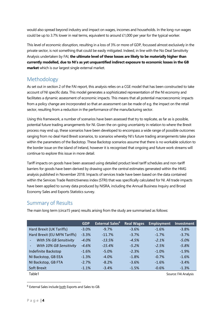would also spread beyond industry and impact on wages, incomes and households. In the long-run wages could be up to 3.7% lower in real terms, equivalent to around £1,000 per year for the typical worker.

This level of economic disruption, resulting in a loss of 3% or more of GDP, focussed almost exclusively in the private sector, is not something that could be easily mitigated. Indeed, in line with the No Deal Sensitivity Analysis undertaken by FAI, **the ultimate level of these losses are likely to be materially higher than currently modelled, due to NI's as yet unquantified indirect exposure to economic losses in the GB market** which is our largest single external market.

## <span id="page-3-0"></span>Methodology

As set out in section 2 of the FAI report, this analysis relies on a CGE model that has been constructed to take account of NI specific data. This model generates a sophisticated representation of the NI economy and facilitates a dynamic assessment of economic impacts. This means that all potential macroeconomic impacts from a policy change are incorporated so that an assessment can be made of e.g. the impact on the retail sector, resulting from a reduction in the performance of the manufacturing sector.

Using this framework, a number of scenarios have been assessed that try to replicate, as far as is possible, potential future trading arrangements for NI. Given the on-going uncertainty in relation to where the Brexit process may end up, these scenarios have been developed to encompass a wide range of possible outcomes ranging from no deal Hard Brexit scenarios, to scenarios whereby NI's future trading arrangements take place within the parameters of the Backstop. These Backstop scenarios assume that there is no workable solution to the border issue on the island of Ireland, however it is recognised that ongoing and future work streams will continue to explore this issue in more detail.

Tariff impacts on goods have been assessed using detailed product level tariff schedules and non-tariff barriers for goods have been derived by drawing upon the central estimates generated within the HMG analysis published in November 2018. Impacts of services trade have been based on the data contained within the Services Trade Restrictiveness index (STRI) that was specifically calculated for NI. All trade impacts have been applied to survey data produced by NISRA, including the Annual Business Inquiry and Broad Economy Sales and Exports Statistics survey.

## <span id="page-3-1"></span>Summary of Results

The main long term (circa15 years) results arising from the study are summarised as follows:

|                                                     | <b>GDP</b> | <b>External Sales<sup>6</sup></b> | <b>Real Wages</b> | <b>Employment</b> | Investment           |
|-----------------------------------------------------|------------|-----------------------------------|-------------------|-------------------|----------------------|
| Hard Brexit (UK Tariffs)                            | $-3.0%$    | $-9.7%$                           | $-3.6%$           | $-1.6%$           | $-3.8%$              |
| Hard Brexit (EU MFN Tariffs)                        | $-3.3%$    | $-11.7%$                          | $-3.7%$           | $-1.7%$           | $-3.7%$              |
| With 5% GB Sensitivity<br>$\overline{\phantom{a}}$  | $-4.0%$    | $-13.5%$                          | $-4.5%$           | $-2.1%$           | $-5.0%$              |
| With 10% GB Sensitivity<br>$\overline{\phantom{a}}$ | $-4.6%$    | $-15.4%$                          | $-5.2%$           | $-2.5%$           | $-5.8%$              |
| Indefinite Backstop                                 | $-1.6%$    | $-5.0%$                           | $-2.3%$           | $-1.0%$           | $-1.9%$              |
| NI Backstop, GB EEA                                 | $-1.3%$    | $-4.0%$                           | $-1.8%$           | $-0.7%$           | $-1.6%$              |
| NI Backstop, GB FTA                                 | $-2.7%$    | $-8.2%$                           | $-3.6%$           | $-1.6%$           | $-3.4%$              |
| <b>Soft Brexit</b>                                  | $-1.1%$    | $-3.4%$                           | $-1.5%$           | $-0.6%$           | $-1.3%$              |
| Table1                                              |            |                                   |                   |                   | Source: FAI Analysis |

 $\overline{a}$ 

<sup>6</sup> External Sales include both Exports and Sales to GB.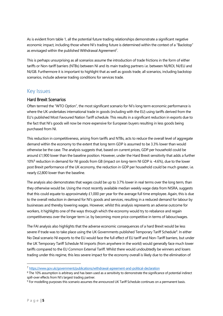As is evident from table 1, all the potential future trading relationships demonstrate a significant negative economic impact, including those where NI's trading future is determined within the context of a "Backstop" as envisaged within the published Withdrawal Agreement<sup>7</sup>.

This is perhaps unsurprising as all scenarios assume the introduction of trade frictions in the form of either tariffs or Non-tariff barriers (NTBs) between NI and its main trading partners i.e. between NI/ROI, NI/EU and NI/GB. Furthermore it is important to highlight that as well as goods trade, all scenarios, including backstop scenarios, include adverse trading conditions for services trade.

### <span id="page-4-0"></span>Key Issues

#### <span id="page-4-1"></span>Hard Brexit Scenarios

Often termed the "WTO Option", the most significant scenario for NI's long term economic performance is where the UK undertakes international trade in goods (including with the EU) using tariffs derived from the EU's published Most Favoured Nation Tariff schedule. This results in a significant reduction in exports due to the fact that NI's goods will now be more expensive for European buyers resulting in less goods being purchased from NI.

This reduction in competitiveness, arising from tariffs and NTBs, acts to reduce the overall level of aggregate demand within the economy to the extent that long term GDP is assumed to be 3.3% lower than would otherwise be the case. The analysis suggests that, based on current prices, GDP per household could be around £1,900 lower than the baseline position. However, under the Hard Brexit sensitivity that adds a further 10%<sup>8</sup> reduction in demand for NI goods from GB (impact on long-term NI GDP is -4.6%), due to the lower post Brexit performance of the UK economy, the reduction in GDP per household could be much greater, i.e. nearly £2,800 lower than the baseline.

The analysis also demonstrates that wages could be up to 3.7% lower in real terms over the long term, than they otherwise would be. Using the most recently available median weekly wage data from NISRA, suggests that this could equate to approximately £1,000 per year for the average full time employee. Again, this is due to the overall reduction in demand for NI's goods and services, resulting in a reduced demand for labour by businesses and thereby lowering wages. However, whilst this analysis represents an adverse outcome for workers, it highlights one of the ways through which the economy would try to rebalance and regain competitiveness over the longer term i.e. by becoming more price competitive in terms of labour/wages.

The FAI analysis also highlights that the adverse economic consequences of a hard Brexit would be less severe if trade was to take place using the UK Governments published Temporary Tariff Schedule<sup>9</sup>. In either No Deal scenario NI exports to the EU would face the full effect of EU tariff and Non-Tariff barriers, but under the UK Temporary Tariff Schedule NI imports (from anywhere in the world) would generally face much lower tariffs compared to the EU Common External Tariff. Whilst there would undoubtedly be winners and losers trading under this regime, this less severe impact for the economy overall is likely due to the elimination of

-

<sup>7</sup> <https://www.gov.uk/government/publications/withdrawal-agreement-and-political-declaration>

<sup>&</sup>lt;sup>8</sup> The 10% assumption is arbitrary and has been used as a sensitivity to demonstrate the significance of potential indirect spill-over effects from NI's largest trading partner.

<sup>&</sup>lt;sup>9</sup> For modelling purposes this scenario assumes the announced UK Tariff Schedule continues on a permanent basis.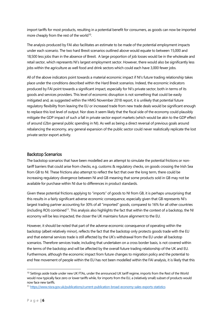import tariffs for most products, resulting in a potential benefit for consumers, as goods can now be imported more cheaply from the rest of the world<sup>10</sup>.

The analysis produced by FAI also facilitates an estimate to be made of the potential employment impacts under each scenario. The two hard Brexit scenarios outlined above would equate to between 15,000 and 18,500 less jobs than in the absence of Brexit. A large proportion of job losses would be in the wholesale and retail sector, which represents NI's largest employment sector. However, there would also be significantly less jobs within the agriculture as well food and drink sectors which could each have 3,000 fewer jobs.

All of the above indicators point towards a material economic impact if NI's future trading relationship takes place under the conditions described within the Hard Brexit scenarios. Indeed, the economic indicators produced by FAI point towards a significant impact, especially for NI's private sector, both in terms of its goods and services providers. This level of economic disruption is not something that could be easily mitigated and, as suggested within the HMG November 2018 report, it is unlikely that potential future regulatory flexibility from leaving the EU or increased trade from new trade deals would be significant enough to replace this lost level of output. Nor does it seem likely that the fiscal side of the economy could plausibly mitigate the GDP impact of such a fall in private sector export markets (which would be akin to the GDP effect of around £2bn general public spending in NI). As well as being a direct reversal of previous goals around rebalancing the economy, any general expansion of the public sector could never realistically replicate the lost private sector export activity.

#### <span id="page-5-0"></span>Backstop Scenarios

The backstop scenarios that have been modelled are an attempt to simulate the potential frictions or nontariff barriers that could arise from checks, e.g. customs & regulatory checks, on goods crossing the Irish Sea from GB to NI. These frictions also attempt to reflect the fact that over the long term, there could be increasing regulatory divergence between NI and GB meaning that some products sold in GB may not be available for purchase within NI due to differences in product standards.

Given these potential frictions applying to "imports" of goods to NI from GB, it is perhaps unsurprising that this results in a fairly significant adverse economic consequence, especially given that GB represents NI's largest trading partner accounting for 30% of all "imported" goods, compared to 16% for all other countries (including ROI) combined<sup>11</sup>. This analysis also highlights the fact that within the context of a backstop, the NI economy will be less impacted, the closer the UK maintains future alignment to the EU.

However, it should be noted that part of the adverse economic consequence of operating within the backstop (albeit relatively minor), reflects the fact that the backstop only protects goods trade with the EU and that external services trade is still affected by the UK's withdrawal from the EU under all backstop scenarios. Therefore services trade, including that undertaken on a cross border basis, is not covered within the terms of the backstop and will be affected by the overall future trading relationship of the UK and EU. Furthermore, although the economic impact from future changes to migration policy and the potential to end free movement of people within the EU has not been modelled within the FAI analysis, it is likely that this

-

<sup>&</sup>lt;sup>10</sup> Settings aside trade under new UK FTAs, under the announced UK tariff regime, imports from the Rest of the World would now typically face zero or lower tariffs while, for imports from the EU, a (relatively small) subset of products would now face new tariffs.

<sup>11</sup> <https://www.nisra.gov.uk/publications/current-publication-broad-economy-sales-exports-statistics>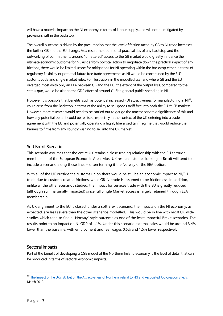will have a material impact on the NI economy in terms of labour supply, and will not be mitigated by provisions within the backstop.

The overall outcome is driven by the presumption that the level of friction faced by GB to NI trade increases the further GB and the EU diverge. As a result the operational practicalities of any backstop and the outworking of commitments around "unfettered" access to the GB market would greatly influence the ultimate economic outcome for NI. Aside from political action to negotiate down the practical impact of any frictions, there would be limited scope for mitigations for NI operating within the backstop either in terms of regulatory flexibility or potential future free trade agreements as NI would be constrained by the EU's customs code and single market rules. For illustration, in the modelled scenario where GB and the EU diverged most (with only an FTA between GB and the EU) the extent of the output loss, compared to the status quo, would be akin to the GDP effect of around £1.5bn general public spending in NI.

However it is possible that benefits, such as potential increased FDI attractiveness for manufacturing in  $N1^{2}$ , could arise from the Backstop in terms of the ability to sell goods tariff free into both the EU & GB markets. However, more research would need to be carried out to gauge the macroeconomic significance of this and how any potential benefit could be realised, especially in the context of the UK entering into a trade agreement with the EU and potentially operating a highly liberalised tariff regime that would reduce the barriers to firms from any country wishing to sell into the UK market.

#### <span id="page-6-0"></span>Soft Brexit Scenario

This scenario assumes that the entire UK retains a close trading relationship with the EU through membership of the European Economic Area. Most UK research studies looking at Brexit will tend to include a scenario along these lines – often terming it the Norway or the EEA option.

With all of the UK outside the customs union there would be still be an economic impact to NI/EU trade due to customs related frictions, while GB-NI trade is assumed to be frictionless. In addition, unlike all the other scenarios studied, the impact for services trade with the EU is greatly reduced (although still marginally impacted) since full Single Market access is largely retained through EEA membership.

As UK alignment to the EU is closest under a soft Brexit scenario, the impacts on the NI economy, as expected, are less severe than the other scenarios modelled. This would be in line with most UK wide studies which tend to find a "Norway" style outcome as one of the least impactful Brexit scenarios. The results point to an impact on NI GDP of 1.1%. Under this scenario external sales would be around 3.4% lower than the baseline, with employment and real wages 0.6% and 1.5% lower respectively.

#### <span id="page-6-1"></span>Sectoral Impacts

Part of the benefit of developing a CGE model of the Northern Ireland economy is the level of detail that can be produced in terms of sectoral economic impacts.

-

<sup>&</sup>lt;sup>12</sup> [The Impact of the UK's EU Exit on the Attractiveness of Northern Ireland to FDI and Associa](https://www.economy-ni.gov.uk/sites/default/files/publications/economy/Impact-of-UK-EU-Exit-on-the-Attractiveness-of-Northern-Ireland-to-FDI-and-Associated-Job-Creation-Effects.pdf)ted Job Creation Effects, March 2019.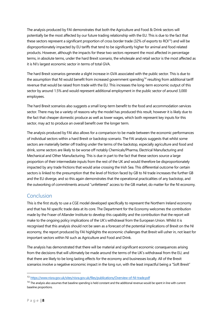The analysis produced by FAI demonstrates that both the Agriculture and Food & Drink sectors will potentially be the most affected by our future trading relationship with the EU. This is due to the fact that these sectors represent a significant proportion of cross border trade (32% of exports to ROI<sup>13</sup>) and will be disproportionately impacted by EU tariffs that tend to be significantly higher for animal and food related products. However, although the impacts for these two sectors represent the most affected in percentage terms, in absolute terms, under the hard Brexit scenario, the wholesale and retail sector is the most affected as it is NI's largest economic sector in terms of total GVA.

The hard Brexit scenarios generate a slight increase in GVA associated with the public sector. This is due to the assumption that NI would benefit from increased government spending<sup>14</sup> resulting from additional tariff revenue that would be raised from trade with the EU. This increases the long-term economic output of this sector by around 1.5% and would represent additional employment in the public sector of around 3,000 employees.

The hard Brexit scenarios also suggests a small long-term benefit to the food and accommodation services sector. There may be a variety of reasons why the model has produced this result, however it is likely due to the fact that cheaper domestic produce as well as lower wages, which both represent key inputs for this sector, may act to produce an overall benefit over the longer term.

The analysis produced by FAI also allows for a comparison to be made between the economic performances of individual sectors within a hard Brexit or backstop scenario. The FAI analysis suggests that whilst some sectors are materially better off trading under the terms of the backstop, especially agriculture and food and drink, some sectors are likely to be worse off notably Chemicals/Pharma, Electrical Manufacturing and Mechanical and Other Manufacturing. This is due in part to the fact that these sectors source a large proportion of their intermediate inputs from the rest of the UK and would therefore be disproportionately impacted by any trade frictions that would arise crossing the Irish Sea. This differential outcome for certain sectors is linked to the presumption that the level of friction faced by GB to NI trade increases the further GB and the EU diverge, and so this again demonstrates that the operational practicalities of any backstop, and the outworking of commitments around "unfettered" access to the GB market, do matter for the NI economy.

## <span id="page-7-0"></span>Conclusion

This is the first study to use a CGE model developed specifically to represent the Northern Ireland economy and that has NI specific trade data at its core. The Department for the Economy welcomes the contribution made by the Fraser of Allander Institute to develop this capability and the contribution that the report will make to the ongoing policy implications of the UK's withdrawal from the European Union. Whilst it is recognised that this analysis should not be seen as a forecast of the potential implications of Brexit on the NI economy, the report produced by FAI highlights the economic challenges that Brexit will usher in, not least for important sectors within NI such as Agriculture and Food and Drink.

The analysis has demonstrated that there will be material and significant economic consequences arising from the decisions that will ultimately be made around the terms of the UK's withdrawal from the EU, and that there are likely to be long lasting effects for the economy and businesses locally. All of the Brexit scenarios involve a negative economic impact in the long run, with the least impactful being a "Soft Brexit"

 $\overline{a}$ 

<sup>13</sup> <https://www.nisra.gov.uk/sites/nisra.gov.uk/files/publications/Overview-of-NI-trade.pdf>

 $14$  The analysis also assumes that baseline spending is held constant and the additional revenue would be spent in line with current baseline proportions.